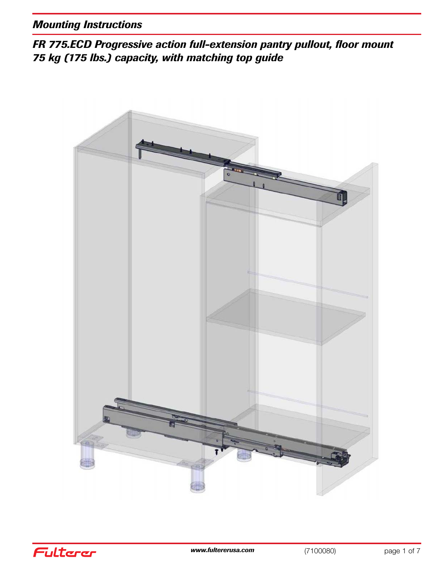*FR 775.ECD Progressive action full-extension pantry pullout, floor mount 75 kg (175 lbs.) capacity, with matching top guide*



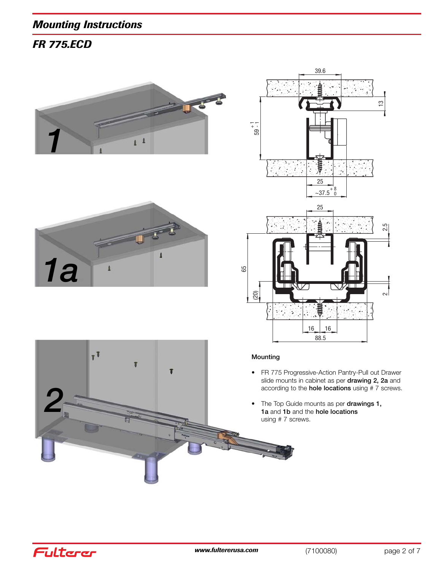*FR 775.ECD*







- FR 775 Progressive-Action Pantry-Pull out Drawer slide mounts in cabinet as per **drawing 2, 2a** and according to the **hole locations** using # 7 screws.
- The Top Guide mounts as per **drawings 1, 1a** and **1b** and the **hole locations** using # 7 screws.



Fulterer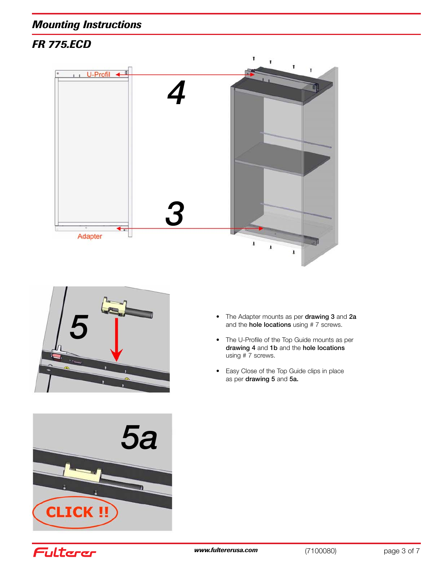





- The Adapter mounts as per **drawing 3** and **2a** and the **hole locations** using # 7 screws.
- The U-Profile of the Top Guide mounts as per **drawing 4** and **1b** and the **hole locations** using # 7 screws.
- Easy Close of the Top Guide clips in place as per **drawing 5** and **5a.**

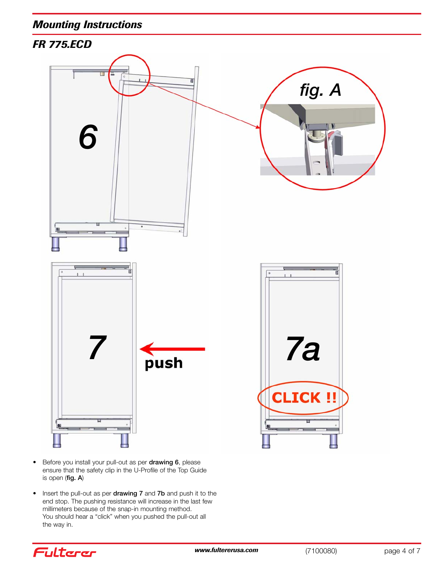

- Before you install your pull-out as per **drawing 6**, please ensure that the safety clip in the U-Profile of the Top Guide is open (**fig. A**)
- Insert the pull-out as per **drawing 7** and **7b** and push it to the end stop. The pushing resistance will increase in the last few millimeters because of the snap-in mounting method. You should hear a "click" when you pushed the pull-out all the way in.

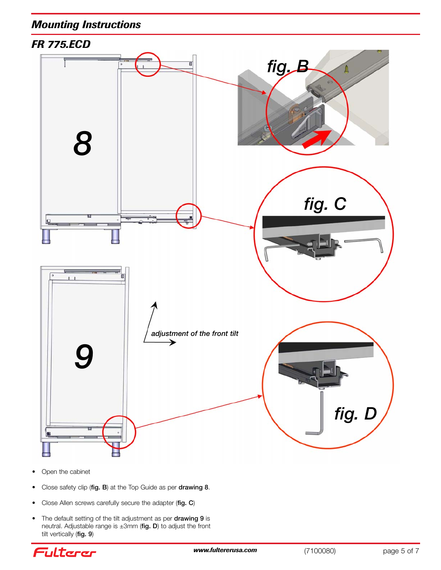

- Open the cabinet
- Close safety clip (**fig. B**) at the Top Guide as per **drawing 8**.
- Close Allen screws carefully secure the adapter (**fig. C**)
- The default setting of the tilt adjustment as per **drawing 9** is neutral. Adjustable range is ±3mm (**fig. D**) to adjust the front tilt vertically (**fig. 9**)

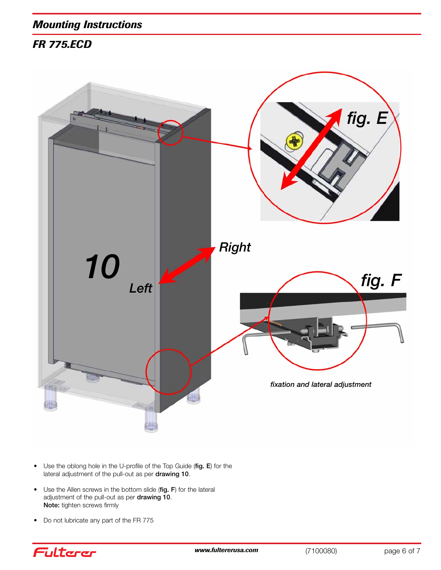

- Use the oblong hole in the U-profile of the Top Guide (**fig. E**) for the lateral adjustment of the pull-out as per **drawing 10**.
- Use the Allen screws in the bottom slide (**fig. F**) for the lateral adjustment of the pull-out as per **drawing 10**. **Note:** tighten screws firmly
- Do not lubricate any part of the FR 775